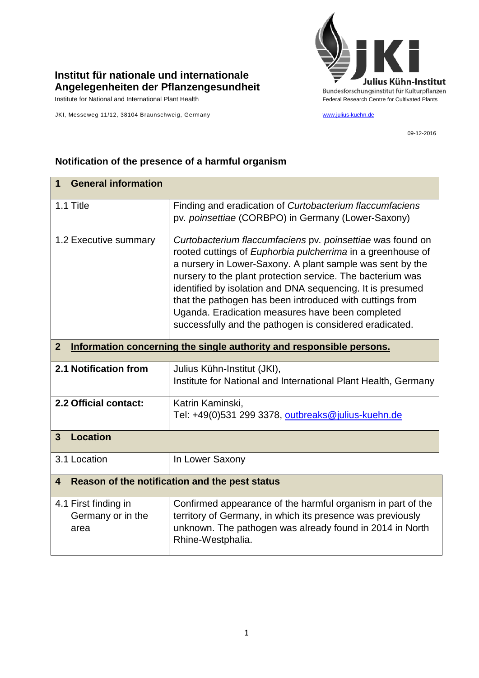

## **Institut für nationale und internationale Angelegenheiten der Pflanzengesundheit**

Institute for National and International Plant Health Feature And Theorem Federal Research Centre for Cultivated Plants

JKI, Messeweg 11/12, 38104 Braunschweig, Germany [www.julius-kuehn.de](http://www.julius-kuehn.de/)

09-12-2016

## **1 General information** 1.1 Title Finding and eradication of *Curtobacterium flaccumfaciens*  pv*. poinsettiae* (CORBPO) in Germany (Lower-Saxony) 1.2 Executive summary *Curtobacterium flaccumfaciens* pv*. poinsettiae* was found on rooted cuttings of *Euphorbia pulcherrima* in a greenhouse of a nursery in Lower-Saxony. A plant sample was sent by the nursery to the plant protection service. The bacterium was identified by isolation and DNA sequencing. It is presumed that the pathogen has been introduced with cuttings from Uganda. Eradication measures have been completed successfully and the pathogen is considered eradicated. **2 Information concerning the single authority and responsible persons. 2.1 Notification from** Julius Kühn-Institut (JKI), Institute for National and International Plant Health, Germany **2.2 Official contact:** | Katrin Kaminski, Tel: +49(0)531 299 3378, [outbreaks@julius-kuehn.de](mailto:outbreaks@julius-kuehn.de) **3 Location**  3.1 Location **In Lower Saxony 4 Reason of the notification and the pest status** 4.1 First finding in Germany or in the area Confirmed appearance of the harmful organism in part of the territory of Germany, in which its presence was previously unknown. The pathogen was already found in 2014 in North Rhine-Westphalia.

## **Notification of the presence of a harmful organism**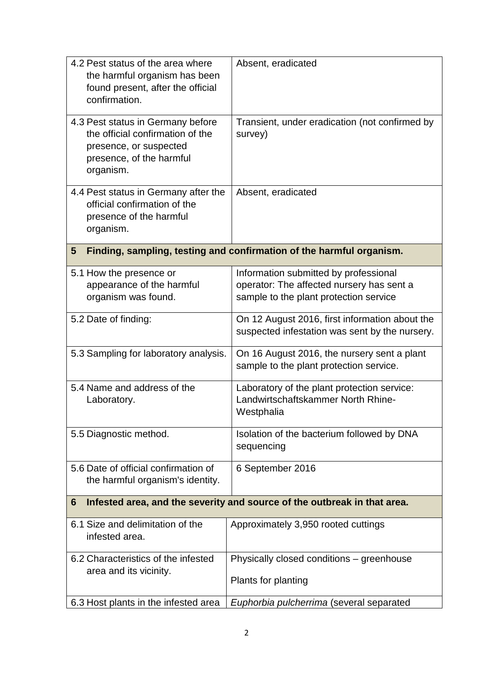| 4.2 Pest status of the area where<br>the harmful organism has been<br>found present, after the official<br>confirmation.                 | Absent, eradicated                                                                                                           |  |
|------------------------------------------------------------------------------------------------------------------------------------------|------------------------------------------------------------------------------------------------------------------------------|--|
| 4.3 Pest status in Germany before<br>the official confirmation of the<br>presence, or suspected<br>presence, of the harmful<br>organism. | Transient, under eradication (not confirmed by<br>survey)                                                                    |  |
| 4.4 Pest status in Germany after the<br>official confirmation of the<br>presence of the harmful<br>organism.                             | Absent, eradicated                                                                                                           |  |
| Finding, sampling, testing and confirmation of the harmful organism.<br>5                                                                |                                                                                                                              |  |
| 5.1 How the presence or<br>appearance of the harmful<br>organism was found.                                                              | Information submitted by professional<br>operator: The affected nursery has sent a<br>sample to the plant protection service |  |
| 5.2 Date of finding:                                                                                                                     | On 12 August 2016, first information about the<br>suspected infestation was sent by the nursery.                             |  |
| 5.3 Sampling for laboratory analysis.                                                                                                    | On 16 August 2016, the nursery sent a plant<br>sample to the plant protection service.                                       |  |
| 5.4 Name and address of the<br>Laboratory.                                                                                               | Laboratory of the plant protection service:<br>Landwirtschaftskammer North Rhine-<br>Westphalia                              |  |
| 5.5 Diagnostic method.                                                                                                                   | Isolation of the bacterium followed by DNA<br>sequencing                                                                     |  |
| 5.6 Date of official confirmation of<br>the harmful organism's identity.                                                                 | 6 September 2016                                                                                                             |  |
| Infested area, and the severity and source of the outbreak in that area.<br>6                                                            |                                                                                                                              |  |
| 6.1 Size and delimitation of the<br>infested area.                                                                                       | Approximately 3,950 rooted cuttings                                                                                          |  |
| 6.2 Characteristics of the infested<br>area and its vicinity.                                                                            | Physically closed conditions - greenhouse<br>Plants for planting                                                             |  |
| 6.3 Host plants in the infested area                                                                                                     | Euphorbia pulcherrima (several separated                                                                                     |  |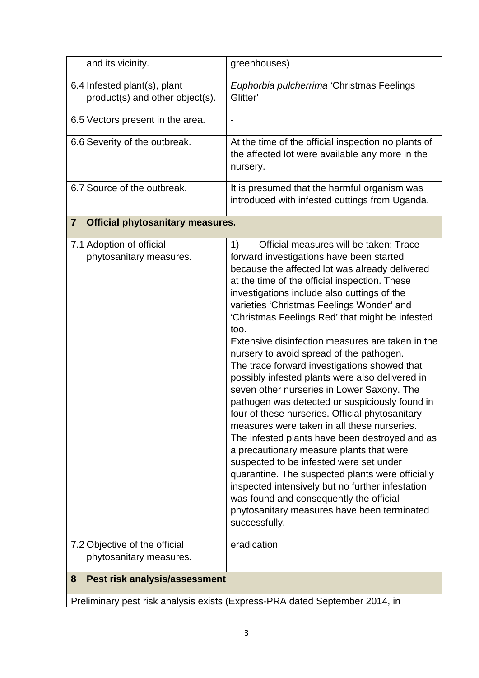| and its vicinity.                                               | greenhouses)                                                                                                                                                                                                                                                                                                                                                                                                                                                                                                                                                                                                                                                                                                                                                                                                                                                                                                                                                                                                                                                                                                        |  |
|-----------------------------------------------------------------|---------------------------------------------------------------------------------------------------------------------------------------------------------------------------------------------------------------------------------------------------------------------------------------------------------------------------------------------------------------------------------------------------------------------------------------------------------------------------------------------------------------------------------------------------------------------------------------------------------------------------------------------------------------------------------------------------------------------------------------------------------------------------------------------------------------------------------------------------------------------------------------------------------------------------------------------------------------------------------------------------------------------------------------------------------------------------------------------------------------------|--|
| 6.4 Infested plant(s), plant<br>product(s) and other object(s). | Euphorbia pulcherrima 'Christmas Feelings<br>Glitter'                                                                                                                                                                                                                                                                                                                                                                                                                                                                                                                                                                                                                                                                                                                                                                                                                                                                                                                                                                                                                                                               |  |
| 6.5 Vectors present in the area.                                |                                                                                                                                                                                                                                                                                                                                                                                                                                                                                                                                                                                                                                                                                                                                                                                                                                                                                                                                                                                                                                                                                                                     |  |
| 6.6 Severity of the outbreak.                                   | At the time of the official inspection no plants of<br>the affected lot were available any more in the<br>nursery.                                                                                                                                                                                                                                                                                                                                                                                                                                                                                                                                                                                                                                                                                                                                                                                                                                                                                                                                                                                                  |  |
| 6.7 Source of the outbreak.                                     | It is presumed that the harmful organism was<br>introduced with infested cuttings from Uganda.                                                                                                                                                                                                                                                                                                                                                                                                                                                                                                                                                                                                                                                                                                                                                                                                                                                                                                                                                                                                                      |  |
| $\overline{7}$<br><b>Official phytosanitary measures.</b>       |                                                                                                                                                                                                                                                                                                                                                                                                                                                                                                                                                                                                                                                                                                                                                                                                                                                                                                                                                                                                                                                                                                                     |  |
| 7.1 Adoption of official<br>phytosanitary measures.             | Official measures will be taken: Trace<br>1)<br>forward investigations have been started<br>because the affected lot was already delivered<br>at the time of the official inspection. These<br>investigations include also cuttings of the<br>varieties 'Christmas Feelings Wonder' and<br>'Christmas Feelings Red' that might be infested<br>too.<br>Extensive disinfection measures are taken in the<br>nursery to avoid spread of the pathogen.<br>The trace forward investigations showed that<br>possibly infested plants were also delivered in<br>seven other nurseries in Lower Saxony. The<br>pathogen was detected or suspiciously found in<br>four of these nurseries. Official phytosanitary<br>measures were taken in all these nurseries.<br>The infested plants have been destroyed and as<br>a precautionary measure plants that were<br>suspected to be infested were set under<br>quarantine. The suspected plants were officially<br>inspected intensively but no further infestation<br>was found and consequently the official<br>phytosanitary measures have been terminated<br>successfully. |  |
| 7.2 Objective of the official<br>phytosanitary measures.        | eradication                                                                                                                                                                                                                                                                                                                                                                                                                                                                                                                                                                                                                                                                                                                                                                                                                                                                                                                                                                                                                                                                                                         |  |
| Pest risk analysis/assessment<br>8                              |                                                                                                                                                                                                                                                                                                                                                                                                                                                                                                                                                                                                                                                                                                                                                                                                                                                                                                                                                                                                                                                                                                                     |  |

Preliminary pest risk analysis exists (Express-PRA dated September 2014, in